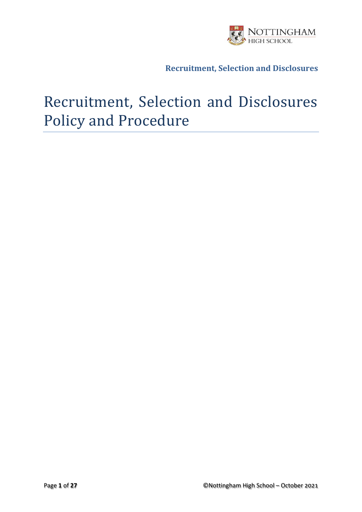

# Recruitment, Selection and Disclosures Policy and Procedure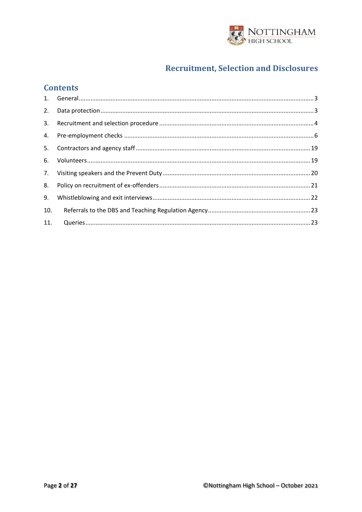

### **Contents**

| 2.  |  |
|-----|--|
| 3.  |  |
| 4.  |  |
| 5.  |  |
| 6.  |  |
|     |  |
| 8.  |  |
| 9.  |  |
| 10. |  |
| 11. |  |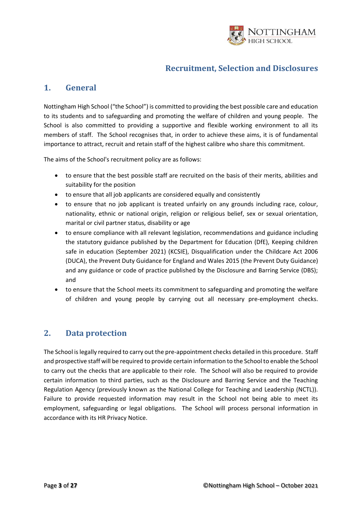

### <span id="page-2-0"></span>**1. General**

Nottingham High School ("the School") is committed to providing the best possible care and education to its students and to safeguarding and promoting the welfare of children and young people. The School is also committed to providing a supportive and flexible working environment to all its members of staff. The School recognises that, in order to achieve these aims, it is of fundamental importance to attract, recruit and retain staff of the highest calibre who share this commitment.

The aims of the School's recruitment policy are as follows:

- to ensure that the best possible staff are recruited on the basis of their merits, abilities and suitability for the position
- to ensure that all job applicants are considered equally and consistently
- to ensure that no job applicant is treated unfairly on any grounds including race, colour, nationality, ethnic or national origin, religion or religious belief, sex or sexual orientation, marital or civil partner status, disability or age
- to ensure compliance with all relevant legislation, recommendations and guidance including the statutory guidance published by the Department for Education (DfE), Keeping children safe in education (September 2021) (KCSIE), Disqualification under the Childcare Act 2006 (DUCA), the Prevent Duty Guidance for England and Wales 2015 (the Prevent Duty Guidance) and any guidance or code of practice published by the Disclosure and Barring Service (DBS); and
- to ensure that the School meets its commitment to safeguarding and promoting the welfare of children and young people by carrying out all necessary pre-employment checks.

### <span id="page-2-1"></span>**2. Data protection**

The School is legally required to carry out the pre-appointment checks detailed in this procedure. Staff and prospective staff will be required to provide certain information to the School to enable the School to carry out the checks that are applicable to their role. The School will also be required to provide certain information to third parties, such as the Disclosure and Barring Service and the Teaching Regulation Agency (previously known as the National College for Teaching and Leadership (NCTL)). Failure to provide requested information may result in the School not being able to meet its employment, safeguarding or legal obligations. The School will process personal information in accordance with its HR Privacy Notice.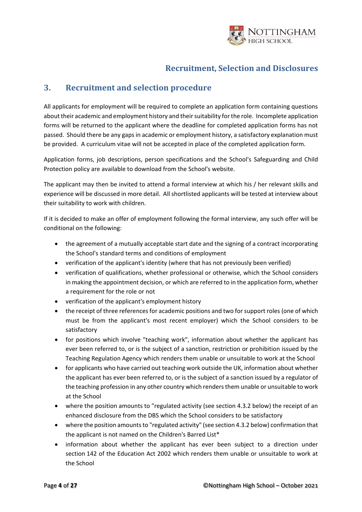

### <span id="page-3-0"></span>**3. Recruitment and selection procedure**

All applicants for employment will be required to complete an application form containing questions about their academic and employment history and their suitability for the role. Incomplete application forms will be returned to the applicant where the deadline for completed application forms has not passed. Should there be any gaps in academic or employment history, a satisfactory explanation must be provided. A curriculum vitae will not be accepted in place of the completed application form.

Application forms, job descriptions, person specifications and the School's Safeguarding and Child Protection policy are available to download from the School's website.

The applicant may then be invited to attend a formal interview at which his / her relevant skills and experience will be discussed in more detail. All shortlisted applicants will be tested at interview about their suitability to work with children.

If it is decided to make an offer of employment following the formal interview, any such offer will be conditional on the following:

- the agreement of a mutually acceptable start date and the signing of a contract incorporating the School's standard terms and conditions of employment
- verification of the applicant's identity (where that has not previously been verified)
- verification of qualifications, whether professional or otherwise, which the School considers in making the appointment decision, or which are referred to in the application form, whether a requirement for the role or not
- verification of the applicant's employment history
- the receipt of three references for academic positions and two for support roles (one of which must be from the applicant's most recent employer) which the School considers to be satisfactory
- for positions which involve "teaching work", information about whether the applicant has ever been referred to, or is the subject of a sanction, restriction or prohibition issued by the Teaching Regulation Agency which renders them unable or unsuitable to work at the School
- for applicants who have carried out teaching work outside the UK, information about whether the applicant has ever been referred to, or is the subject of a sanction issued by a regulator of the teaching profession in any other country which renders them unable or unsuitable to work at the School
- where the position amounts to "regulated activity (see section 4.3.2 below) the receipt of an enhanced disclosure from the DBS which the School considers to be satisfactory
- where the position amounts to "regulated activity" (see section 4.3.2 below) confirmation that the applicant is not named on the Children's Barred List\*
- information about whether the applicant has ever been subject to a direction under section 142 of the Education Act 2002 which renders them unable or unsuitable to work at the School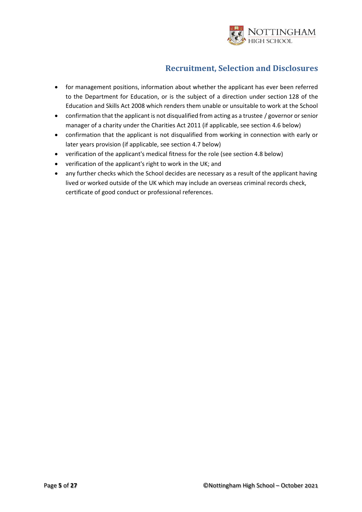

- for management positions, information about whether the applicant has ever been referred to the Department for Education, or is the subject of a direction under section 128 of the Education and Skills Act 2008 which renders them unable or unsuitable to work at the School
- confirmation that the applicant is not disqualified from acting as a trustee / governor or senior manager of a charity under the Charities Act 2011 (if applicable, see section 4.6 below)
- confirmation that the applicant is not disqualified from working in connection with early or later years provision (if applicable, see section 4.7 below)
- verification of the applicant's medical fitness for the role (see section 4.8 below)
- verification of the applicant's right to work in the UK; and
- any further checks which the School decides are necessary as a result of the applicant having lived or worked outside of the UK which may include an overseas criminal records check, certificate of good conduct or professional references.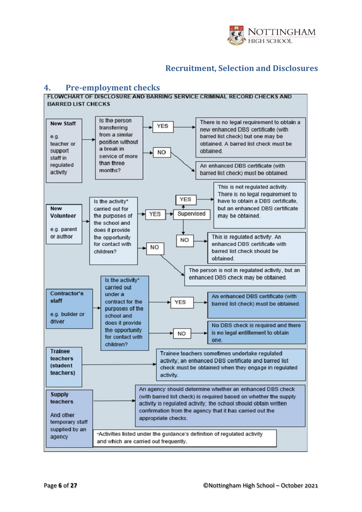

<span id="page-5-0"></span>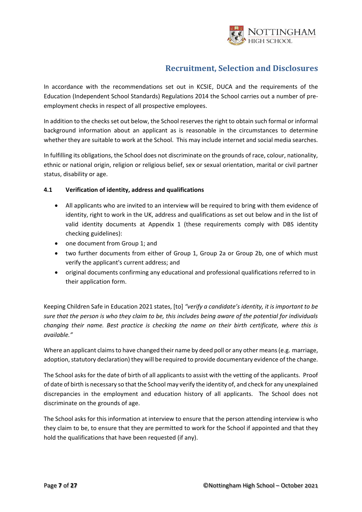

In accordance with the recommendations set out in KCSIE, DUCA and the requirements of the Education (Independent School Standards) Regulations 2014 the School carries out a number of preemployment checks in respect of all prospective employees.

In addition to the checks set out below, the School reserves the right to obtain such formal or informal background information about an applicant as is reasonable in the circumstances to determine whether they are suitable to work at the School. This may include internet and social media searches.

In fulfilling its obligations, the School does not discriminate on the grounds of race, colour, nationality, ethnic or national origin, religion or religious belief, sex or sexual orientation, marital or civil partner status, disability or age.

### **4.1 Verification of identity, address and qualifications**

- All applicants who are invited to an interview will be required to bring with them evidence of identity, right to work in the UK, address and qualifications as set out below and in the list of valid identity documents at Appendix 1 (these requirements comply with DBS identity checking guidelines):
- one document from Group 1; and
- two further documents from either of Group 1, Group 2a or Group 2b, one of which must verify the applicant's current address; and
- original documents confirming any educational and professional qualifications referred to in their application form.

Keeping Children Safe in Education 2021 states, [to] *"verify a candidate's identity, it is important to be sure that the person is who they claim to be, this includes being aware of the potential for individuals changing their name. Best practice is checking the name on their birth certificate, where this is available."*

Where an applicant claims to have changed their name by deed poll or any other means (e.g. marriage, adoption, statutory declaration) they will be required to provide documentary evidence of the change.

The School asks for the date of birth of all applicants to assist with the vetting of the applicants. Proof of date of birth is necessary so that the School may verify the identity of, and check for any unexplained discrepancies in the employment and education history of all applicants. The School does not discriminate on the grounds of age.

The School asks for this information at interview to ensure that the person attending interview is who they claim to be, to ensure that they are permitted to work for the School if appointed and that they hold the qualifications that have been requested (if any).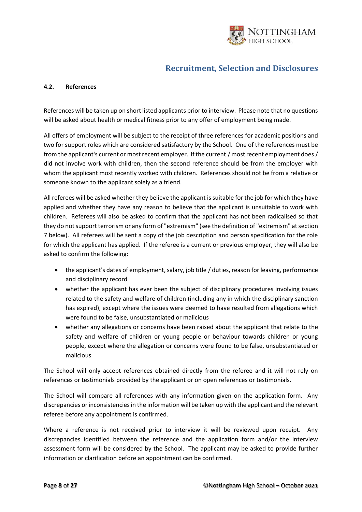

#### **4.2. References**

References will be taken up on short listed applicants prior to interview. Please note that no questions will be asked about health or medical fitness prior to any offer of employment being made.

All offers of employment will be subject to the receipt of three references for academic positions and two for support roles which are considered satisfactory by the School. One of the references must be from the applicant's current or most recent employer. If the current / most recent employment does / did not involve work with children, then the second reference should be from the employer with whom the applicant most recently worked with children. References should not be from a relative or someone known to the applicant solely as a friend.

All referees will be asked whether they believe the applicant is suitable for the job for which they have applied and whether they have any reason to believe that the applicant is unsuitable to work with children. Referees will also be asked to confirm that the applicant has not been radicalised so that they do not support terrorism or any form of "extremism" (see the definition of "extremism" at section 7 below). All referees will be sent a copy of the job description and person specification for the role for which the applicant has applied. If the referee is a current or previous employer, they will also be asked to confirm the following:

- the applicant's dates of employment, salary, job title / duties, reason for leaving, performance and disciplinary record
- whether the applicant has ever been the subject of disciplinary procedures involving issues related to the safety and welfare of children (including any in which the disciplinary sanction has expired), except where the issues were deemed to have resulted from allegations which were found to be false, unsubstantiated or malicious
- whether any allegations or concerns have been raised about the applicant that relate to the safety and welfare of children or young people or behaviour towards children or young people, except where the allegation or concerns were found to be false, unsubstantiated or malicious

The School will only accept references obtained directly from the referee and it will not rely on references or testimonials provided by the applicant or on open references or testimonials.

The School will compare all references with any information given on the application form. Any discrepancies or inconsistencies in the information will be taken up with the applicant and the relevant referee before any appointment is confirmed.

Where a reference is not received prior to interview it will be reviewed upon receipt. Any discrepancies identified between the reference and the application form and/or the interview assessment form will be considered by the School. The applicant may be asked to provide further information or clarification before an appointment can be confirmed.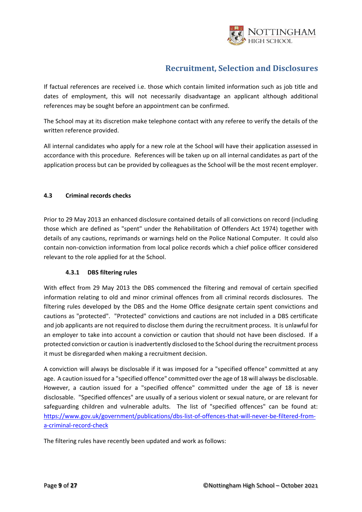

If factual references are received i.e. those which contain limited information such as job title and dates of employment, this will not necessarily disadvantage an applicant although additional references may be sought before an appointment can be confirmed.

The School may at its discretion make telephone contact with any referee to verify the details of the written reference provided.

All internal candidates who apply for a new role at the School will have their application assessed in accordance with this procedure. References will be taken up on all internal candidates as part of the application process but can be provided by colleagues as the School will be the most recent employer.

### **4.3 Criminal records checks**

Prior to 29 May 2013 an enhanced disclosure contained details of all convictions on record (including those which are defined as "spent" under the Rehabilitation of Offenders Act 1974) together with details of any cautions, reprimands or warnings held on the Police National Computer. It could also contain non-conviction information from local police records which a chief police officer considered relevant to the role applied for at the School.

### **4.3.1 DBS filtering rules**

With effect from 29 May 2013 the DBS commenced the filtering and removal of certain specified information relating to old and minor criminal offences from all criminal records disclosures. The filtering rules developed by the DBS and the Home Office designate certain spent convictions and cautions as "protected". "Protected" convictions and cautions are not included in a DBS certificate and job applicants are not required to disclose them during the recruitment process. It is unlawful for an employer to take into account a conviction or caution that should not have been disclosed. If a protected conviction or caution is inadvertently disclosed to the School during the recruitment process it must be disregarded when making a recruitment decision.

A conviction will always be disclosable if it was imposed for a "specified offence" committed at any age. A caution issued for a "specified offence" committed over the age of 18 will always be disclosable. However, a caution issued for a "specified offence" committed under the age of 18 is never disclosable. "Specified offences" are usually of a serious violent or sexual nature, or are relevant for safeguarding children and vulnerable adults. The list of "specified offences" can be found at: [https://www.gov.uk/government/publications/dbs-list-of-offences-that-will-never-be-filtered-from](https://www.gov.uk/government/publications/dbs-list-of-offences-that-will-never-be-filtered-from-a-criminal-record-check)[a-criminal-record-check](https://www.gov.uk/government/publications/dbs-list-of-offences-that-will-never-be-filtered-from-a-criminal-record-check)

The filtering rules have recently been updated and work as follows: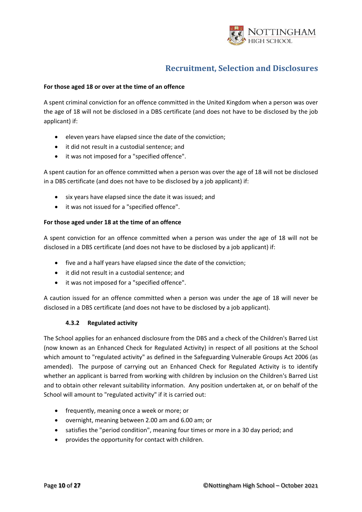

#### **For those aged 18 or over at the time of an offence**

A spent criminal conviction for an offence committed in the United Kingdom when a person was over the age of 18 will not be disclosed in a DBS certificate (and does not have to be disclosed by the job applicant) if:

- eleven years have elapsed since the date of the conviction;
- it did not result in a custodial sentence; and
- it was not imposed for a "specified offence".

A spent caution for an offence committed when a person was over the age of 18 will not be disclosed in a DBS certificate (and does not have to be disclosed by a job applicant) if:

- six years have elapsed since the date it was issued; and
- it was not issued for a "specified offence".

#### **For those aged under 18 at the time of an offence**

A spent conviction for an offence committed when a person was under the age of 18 will not be disclosed in a DBS certificate (and does not have to be disclosed by a job applicant) if:

- five and a half years have elapsed since the date of the conviction;
- it did not result in a custodial sentence; and
- it was not imposed for a "specified offence".

A caution issued for an offence committed when a person was under the age of 18 will never be disclosed in a DBS certificate (and does not have to be disclosed by a job applicant).

#### **4.3.2 Regulated activity**

The School applies for an enhanced disclosure from the DBS and a check of the Children's Barred List (now known as an Enhanced Check for Regulated Activity) in respect of all positions at the School which amount to "regulated activity" as defined in the Safeguarding Vulnerable Groups Act 2006 (as amended). The purpose of carrying out an Enhanced Check for Regulated Activity is to identify whether an applicant is barred from working with children by inclusion on the Children's Barred List and to obtain other relevant suitability information. Any position undertaken at, or on behalf of the School will amount to "regulated activity" if it is carried out:

- frequently, meaning once a week or more; or
- overnight, meaning between 2.00 am and 6.00 am; or
- satisfies the "period condition", meaning four times or more in a 30 day period; and
- provides the opportunity for contact with children.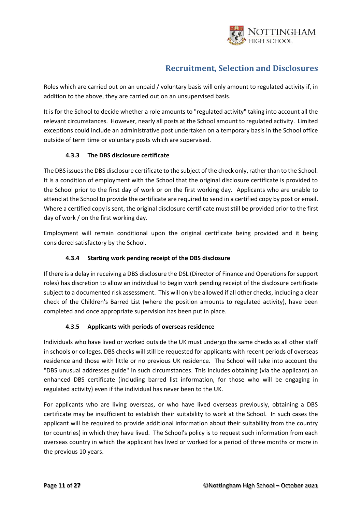

Roles which are carried out on an unpaid / voluntary basis will only amount to regulated activity if, in addition to the above, they are carried out on an unsupervised basis.

It is for the School to decide whether a role amounts to "regulated activity" taking into account all the relevant circumstances. However, nearly all posts at the School amount to regulated activity. Limited exceptions could include an administrative post undertaken on a temporary basis in the School office outside of term time or voluntary posts which are supervised.

### **4.3.3 The DBS disclosure certificate**

The DBS issues the DBS disclosure certificate to the subject of the check only, rather than to the School. It is a condition of employment with the School that the original disclosure certificate is provided to the School prior to the first day of work or on the first working day. Applicants who are unable to attend at the School to provide the certificate are required to send in a certified copy by post or email. Where a certified copy is sent, the original disclosure certificate must still be provided prior to the first day of work / on the first working day.

Employment will remain conditional upon the original certificate being provided and it being considered satisfactory by the School.

### **4.3.4 Starting work pending receipt of the DBS disclosure**

If there is a delay in receiving a DBS disclosure the DSL (Director of Finance and Operations for support roles) has discretion to allow an individual to begin work pending receipt of the disclosure certificate subject to a documented risk assessment. This will only be allowed if all other checks, including a clear check of the Children's Barred List (where the position amounts to regulated activity), have been completed and once appropriate supervision has been put in place.

### **4.3.5 Applicants with periods of overseas residence**

Individuals who have lived or worked outside the UK must undergo the same checks as all other staff in schools or colleges. DBS checks will still be requested for applicants with recent periods of overseas residence and those with little or no previous UK residence. The School will take into account the "DBS unusual addresses guide" in such circumstances. This includes obtaining (via the applicant) an enhanced DBS certificate (including barred list information, for those who will be engaging in regulated activity) even if the individual has never been to the UK.

For applicants who are living overseas, or who have lived overseas previously, obtaining a DBS certificate may be insufficient to establish their suitability to work at the School. In such cases the applicant will be required to provide additional information about their suitability from the country (or countries) in which they have lived. The School's policy is to request such information from each overseas country in which the applicant has lived or worked for a period of three months or more in the previous 10 years.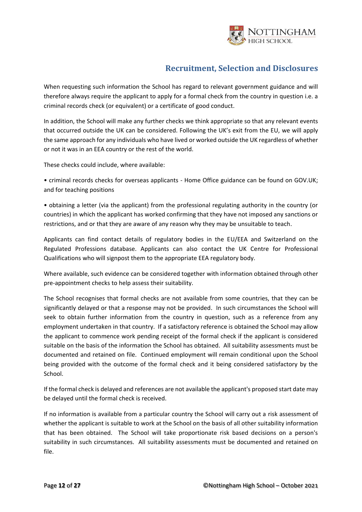

When requesting such information the School has regard to relevant government guidance and will therefore always require the applicant to apply for a formal check from the country in question i.e. a criminal records check (or equivalent) or a certificate of good conduct.

In addition, the School will make any further checks we think appropriate so that any relevant events that occurred outside the UK can be considered. Following the UK's exit from the EU, we will apply the same approach for any individuals who have lived or worked outside the UK regardless of whether or not it was in an EEA country or the rest of the world.

These checks could include, where available:

• criminal records checks for overseas applicants - Home Office guidance can be found on GOV.UK; and for teaching positions

• obtaining a letter (via the applicant) from the professional regulating authority in the country (or countries) in which the applicant has worked confirming that they have not imposed any sanctions or restrictions, and or that they are aware of any reason why they may be unsuitable to teach.

Applicants can find contact details of regulatory bodies in the EU/EEA and Switzerland on the Regulated Professions database. Applicants can also contact the UK Centre for Professional Qualifications who will signpost them to the appropriate EEA regulatory body.

Where available, such evidence can be considered together with information obtained through other pre-appointment checks to help assess their suitability.

The School recognises that formal checks are not available from some countries, that they can be significantly delayed or that a response may not be provided. In such circumstances the School will seek to obtain further information from the country in question, such as a reference from any employment undertaken in that country. If a satisfactory reference is obtained the School may allow the applicant to commence work pending receipt of the formal check if the applicant is considered suitable on the basis of the information the School has obtained. All suitability assessments must be documented and retained on file. Continued employment will remain conditional upon the School being provided with the outcome of the formal check and it being considered satisfactory by the School.

If the formal check is delayed and references are not available the applicant's proposed start date may be delayed until the formal check is received.

If no information is available from a particular country the School will carry out a risk assessment of whether the applicant is suitable to work at the School on the basis of all other suitability information that has been obtained. The School will take proportionate risk based decisions on a person's suitability in such circumstances. All suitability assessments must be documented and retained on file.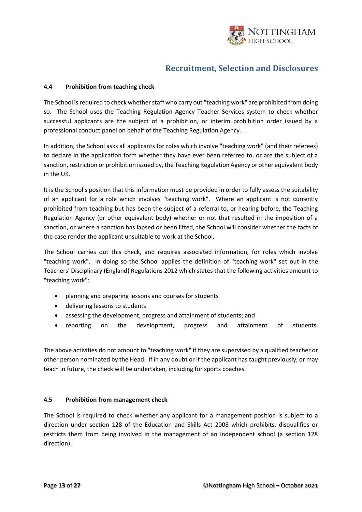

#### **4.4 Prohibition from teaching check**

The School is required to check whether staff who carry out "teaching work" are prohibited from doing so. The School uses the Teaching Regulation Agency Teacher Services system to check whether successful applicants are the subject of a prohibition, or interim prohibition order issued by a professional conduct panel on behalf of the Teaching Regulation Agency.

In addition, the School asks all applicants for roles which involve "teaching work" (and their referees) to declare in the application form whether they have ever been referred to, or are the subject of a sanction, restriction or prohibition issued by, the Teaching Regulation Agency or other equivalent body in the UK.

It is the School's position that this information must be provided in order to fully assess the suitability of an applicant for a role which involves "teaching work". Where an applicant is not currently prohibited from teaching but has been the subject of a referral to, or hearing before, the Teaching Regulation Agency (or other equivalent body) whether or not that resulted in the imposition of a sanction, or where a sanction has lapsed or been lifted, the School will consider whether the facts of the case render the applicant unsuitable to work at the School.

The School carries out this check, and requires associated information, for roles which involve "teaching work". In doing so the School applies the definition of "teaching work" set out in the Teachers' Disciplinary (England) Regulations 2012 which states that the following activities amount to "teaching work":

- planning and preparing lessons and courses for students
- delivering lessons to students
- assessing the development, progress and attainment of students; and
- reporting on the development, progress and attainment of students.

The above activities do not amount to "teaching work" if they are supervised by a qualified teacher or other person nominated by the Head. If in any doubt or if the applicant has taught previously, or may teach in future, the check will be undertaken, including for sports coaches.

#### **4.5 Prohibition from management check**

The School is required to check whether any applicant for a management position is subject to a direction under section 128 of the Education and Skills Act 2008 which prohibits, disqualifies or restricts them from being involved in the management of an independent school (a section 128 direction).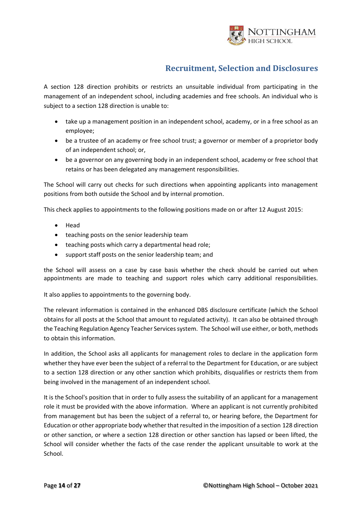

A section 128 direction prohibits or restricts an unsuitable individual from participating in the management of an independent school, including academies and free schools. An individual who is subject to a section 128 direction is unable to:

- take up a management position in an independent school, academy, or in a free school as an employee;
- be a trustee of an academy or free school trust; a governor or member of a proprietor body of an independent school; or,
- be a governor on any governing body in an independent school, academy or free school that retains or has been delegated any management responsibilities.

The School will carry out checks for such directions when appointing applicants into management positions from both outside the School and by internal promotion.

This check applies to appointments to the following positions made on or after 12 August 2015:

- Head
- teaching posts on the senior leadership team
- teaching posts which carry a departmental head role;
- support staff posts on the senior leadership team; and

the School will assess on a case by case basis whether the check should be carried out when appointments are made to teaching and support roles which carry additional responsibilities.

It also applies to appointments to the governing body.

The relevant information is contained in the enhanced DBS disclosure certificate (which the School obtains for all posts at the School that amount to regulated activity). It can also be obtained through the Teaching Regulation Agency Teacher Services system. The School will use either, or both, methods to obtain this information.

In addition, the School asks all applicants for management roles to declare in the application form whether they have ever been the subject of a referral to the Department for Education, or are subject to a section 128 direction or any other sanction which prohibits, disqualifies or restricts them from being involved in the management of an independent school.

It is the School's position that in order to fully assess the suitability of an applicant for a management role it must be provided with the above information. Where an applicant is not currently prohibited from management but has been the subject of a referral to, or hearing before, the Department for Education or other appropriate body whether that resulted in the imposition of a section 128 direction or other sanction, or where a section 128 direction or other sanction has lapsed or been lifted, the School will consider whether the facts of the case render the applicant unsuitable to work at the School.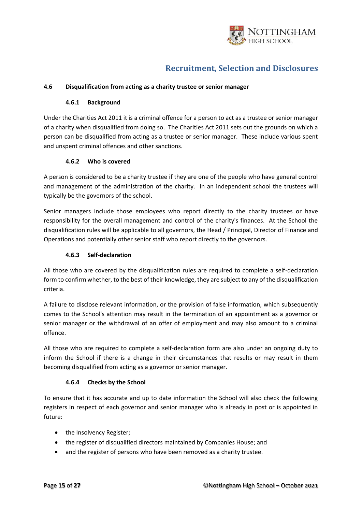

#### **4.6 Disqualification from acting as a charity trustee or senior manager**

#### **4.6.1 Background**

Under the Charities Act 2011 it is a criminal offence for a person to act as a trustee or senior manager of a charity when disqualified from doing so. The Charities Act 2011 sets out the grounds on which a person can be disqualified from acting as a trustee or senior manager. These include various spent and unspent criminal offences and other sanctions.

#### **4.6.2 Who is covered**

A person is considered to be a charity trustee if they are one of the people who have general control and management of the administration of the charity. In an independent school the trustees will typically be the governors of the school.

Senior managers include those employees who report directly to the charity trustees or have responsibility for the overall management and control of the charity's finances. At the School the disqualification rules will be applicable to all governors, the Head / Principal, Director of Finance and Operations and potentially other senior staff who report directly to the governors.

#### **4.6.3 Self-declaration**

All those who are covered by the disqualification rules are required to complete a self-declaration form to confirm whether, to the best of their knowledge, they are subject to any of the disqualification criteria.

A failure to disclose relevant information, or the provision of false information, which subsequently comes to the School's attention may result in the termination of an appointment as a governor or senior manager or the withdrawal of an offer of employment and may also amount to a criminal offence.

All those who are required to complete a self-declaration form are also under an ongoing duty to inform the School if there is a change in their circumstances that results or may result in them becoming disqualified from acting as a governor or senior manager.

#### **4.6.4 Checks by the School**

To ensure that it has accurate and up to date information the School will also check the following registers in respect of each governor and senior manager who is already in post or is appointed in future:

- the Insolvency Register;
- the register of disqualified directors maintained by Companies House; and
- and the register of persons who have been removed as a charity trustee.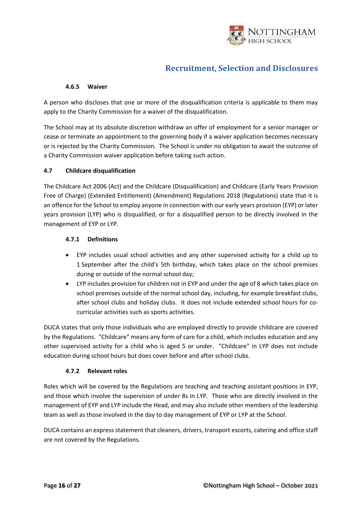

#### **4.6.5 Waiver**

A person who discloses that one or more of the disqualification criteria is applicable to them may apply to the Charity Commission for a waiver of the disqualification.

The School may at its absolute discretion withdraw an offer of employment for a senior manager or cease or terminate an appointment to the governing body if a waiver application becomes necessary or is rejected by the Charity Commission. The School is under no obligation to await the outcome of a Charity Commission waiver application before taking such action.

#### **4.7 Childcare disqualification**

The Childcare Act 2006 (Act) and the Childcare (Disqualification) and Childcare (Early Years Provision Free of Charge) (Extended Entitlement) (Amendment) Regulations 2018 (Regulations) state that it is an offence for the School to employ anyone in connection with our early years provision (EYP) or later years provision (LYP) who is disqualified, or for a disqualified person to be directly involved in the management of EYP or LYP.

#### **4.7.1 Definitions**

- EYP includes usual school activities and any other supervised activity for a child up to 1 September after the child's 5th birthday, which takes place on the school premises during or outside of the normal school day;
- LYP includes provision for children not in EYP and under the age of 8 which takes place on school premises outside of the normal school day, including, for example breakfast clubs, after school clubs and holiday clubs. It does not include extended school hours for cocurricular activities such as sports activities.

DUCA states that only those individuals who are employed directly to provide childcare are covered by the Regulations. "Childcare" means any form of care for a child, which includes education and any other supervised activity for a child who is aged 5 or under. "Childcare" in LYP does not include education during school hours but does cover before and after school clubs.

#### **4.7.2 Relevant roles**

Roles which will be covered by the Regulations are teaching and teaching assistant positions in EYP, and those which involve the supervision of under 8s in LYP. Those who are directly involved in the management of EYP and LYP include the Head, and may also include other members of the leadership team as well as those involved in the day to day management of EYP or LYP at the School.

DUCA contains an express statement that cleaners, drivers, transport escorts, catering and office staff are not covered by the Regulations.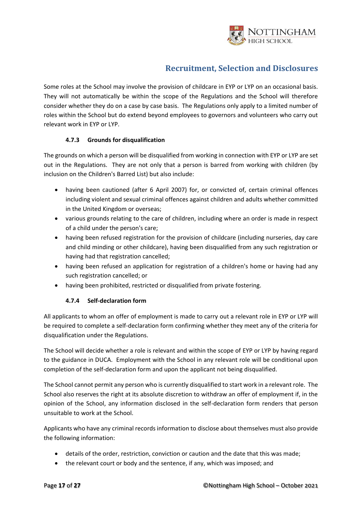

Some roles at the School may involve the provision of childcare in EYP or LYP on an occasional basis. They will not automatically be within the scope of the Regulations and the School will therefore consider whether they do on a case by case basis. The Regulations only apply to a limited number of roles within the School but do extend beyond employees to governors and volunteers who carry out relevant work in EYP or LYP.

### **4.7.3 Grounds for disqualification**

The grounds on which a person will be disqualified from working in connection with EYP or LYP are set out in the Regulations. They are not only that a person is barred from working with children (by inclusion on the Children's Barred List) but also include:

- having been cautioned (after 6 April 2007) for, or convicted of, certain criminal offences including violent and sexual criminal offences against children and adults whether committed in the United Kingdom or overseas;
- various grounds relating to the care of children, including where an order is made in respect of a child under the person's care;
- having been refused registration for the provision of childcare (including nurseries, day care and child minding or other childcare), having been disqualified from any such registration or having had that registration cancelled;
- having been refused an application for registration of a children's home or having had any such registration cancelled; or
- having been prohibited, restricted or disqualified from private fostering.

### **4.7.4 Self-declaration form**

All applicants to whom an offer of employment is made to carry out a relevant role in EYP or LYP will be required to complete a self-declaration form confirming whether they meet any of the criteria for disqualification under the Regulations.

The School will decide whether a role is relevant and within the scope of EYP or LYP by having regard to the guidance in DUCA. Employment with the School in any relevant role will be conditional upon completion of the self-declaration form and upon the applicant not being disqualified.

The School cannot permit any person who is currently disqualified to start work in a relevant role. The School also reserves the right at its absolute discretion to withdraw an offer of employment if, in the opinion of the School, any information disclosed in the self-declaration form renders that person unsuitable to work at the School.

Applicants who have any criminal records information to disclose about themselves must also provide the following information:

- details of the order, restriction, conviction or caution and the date that this was made;
- the relevant court or body and the sentence, if any, which was imposed; and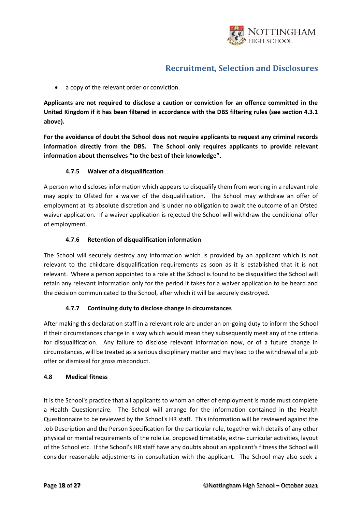

• a copy of the relevant order or conviction.

**Applicants are not required to disclose a caution or conviction for an offence committed in the United Kingdom if it has been filtered in accordance with the DBS filtering rules (see section 4.3.1 above).**

**For the avoidance of doubt the School does not require applicants to request any criminal records information directly from the DBS. The School only requires applicants to provide relevant information about themselves "to the best of their knowledge".**

#### **4.7.5 Waiver of a disqualification**

A person who discloses information which appears to disqualify them from working in a relevant role may apply to Ofsted for a waiver of the disqualification. The School may withdraw an offer of employment at its absolute discretion and is under no obligation to await the outcome of an Ofsted waiver application. If a waiver application is rejected the School will withdraw the conditional offer of employment.

#### **4.7.6 Retention of disqualification information**

The School will securely destroy any information which is provided by an applicant which is not relevant to the childcare disqualification requirements as soon as it is established that it is not relevant. Where a person appointed to a role at the School is found to be disqualified the School will retain any relevant information only for the period it takes for a waiver application to be heard and the decision communicated to the School, after which it will be securely destroyed.

### **4.7.7 Continuing duty to disclose change in circumstances**

After making this declaration staff in a relevant role are under an on-going duty to inform the School if their circumstances change in a way which would mean they subsequently meet any of the criteria for disqualification. Any failure to disclose relevant information now, or of a future change in circumstances, will be treated as a serious disciplinary matter and may lead to the withdrawal of a job offer or dismissal for gross misconduct.

#### **4.8 Medical fitness**

It is the School's practice that all applicants to whom an offer of employment is made must complete a Health Questionnaire. The School will arrange for the information contained in the Health Questionnaire to be reviewed by the School's HR staff. This information will be reviewed against the Job Description and the Person Specification for the particular role, together with details of any other physical or mental requirements of the role i.e. proposed timetable, extra- curricular activities, layout of the School etc. If the School's HR staff have any doubts about an applicant's fitness the School will consider reasonable adjustments in consultation with the applicant. The School may also seek a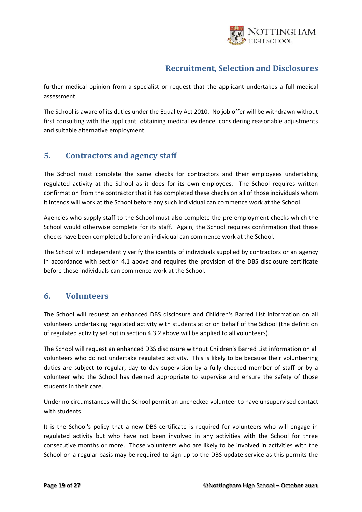

further medical opinion from a specialist or request that the applicant undertakes a full medical assessment.

The School is aware of its duties under the Equality Act 2010. No job offer will be withdrawn without first consulting with the applicant, obtaining medical evidence, considering reasonable adjustments and suitable alternative employment.

### <span id="page-18-0"></span>**5. Contractors and agency staff**

The School must complete the same checks for contractors and their employees undertaking regulated activity at the School as it does for its own employees. The School requires written confirmation from the contractor that it has completed these checks on all of those individuals whom it intends will work at the School before any such individual can commence work at the School.

Agencies who supply staff to the School must also complete the pre-employment checks which the School would otherwise complete for its staff. Again, the School requires confirmation that these checks have been completed before an individual can commence work at the School.

The School will independently verify the identity of individuals supplied by contractors or an agency in accordance with section 4.1 above and requires the provision of the DBS disclosure certificate before those individuals can commence work at the School.

### <span id="page-18-1"></span>**6. Volunteers**

The School will request an enhanced DBS disclosure and Children's Barred List information on all volunteers undertaking regulated activity with students at or on behalf of the School (the definition of regulated activity set out in section 4.3.2 above will be applied to all volunteers).

The School will request an enhanced DBS disclosure without Children's Barred List information on all volunteers who do not undertake regulated activity. This is likely to be because their volunteering duties are subject to regular, day to day supervision by a fully checked member of staff or by a volunteer who the School has deemed appropriate to supervise and ensure the safety of those students in their care.

Under no circumstances will the School permit an unchecked volunteer to have unsupervised contact with students.

It is the School's policy that a new DBS certificate is required for volunteers who will engage in regulated activity but who have not been involved in any activities with the School for three consecutive months or more. Those volunteers who are likely to be involved in activities with the School on a regular basis may be required to sign up to the DBS update service as this permits the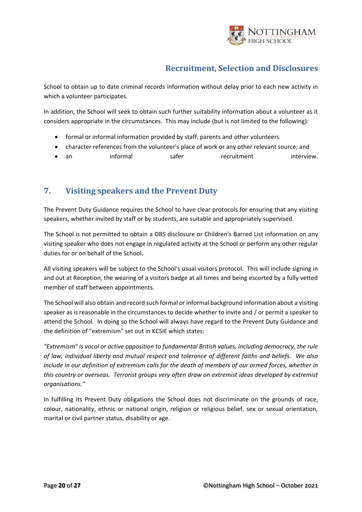

School to obtain up to date criminal records information without delay prior to each new activity in which a volunteer participates.

In addition, the School will seek to obtain such further suitability information about a volunteer as it considers appropriate in the circumstances. This may include (but is not limited to the following):

- formal or informal information provided by staff, parents and other volunteers
- character references from the volunteer's place of work or any other relevant source; and
- an informal safer recruitment interview.

### <span id="page-19-0"></span>**7. Visiting speakers and the Prevent Duty**

The Prevent Duty Guidance requires the School to have clear protocols for ensuring that any visiting speakers, whether invited by staff or by students, are suitable and appropriately supervised.

The School is not permitted to obtain a DBS disclosure or Children's Barred List information on any visiting speaker who does not engage in regulated activity at the School or perform any other regular duties for or on behalf of the School.

All visiting speakers will be subject to the School's usual visitors protocol. This will include signing in and out at Reception, the wearing of a visitors badge at all times and being escorted by a fully vetted member of staff between appointments.

The School will also obtain and record such formal or informal background information about a visiting speaker as is reasonable in the circumstances to decide whether to invite and / or permit a speaker to attend the School. In doing so the School will always have regard to the Prevent Duty Guidance and the definition of "extremism" set out in KCSIE which states:

*"Extremism" is vocal or active opposition to fundamental British values, including democracy, the rule of law, individual liberty and mutual respect and tolerance of different faiths and beliefs. We also include in our definition of extremism calls for the death of members of our armed forces, whether in this country or overseas. Terrorist groups very often draw on extremist ideas developed by extremist organisations."*

In fulfilling its Prevent Duty obligations the School does not discriminate on the grounds of race, colour, nationality, ethnic or national origin, religion or religious belief, sex or sexual orientation, marital or civil partner status, disability or age.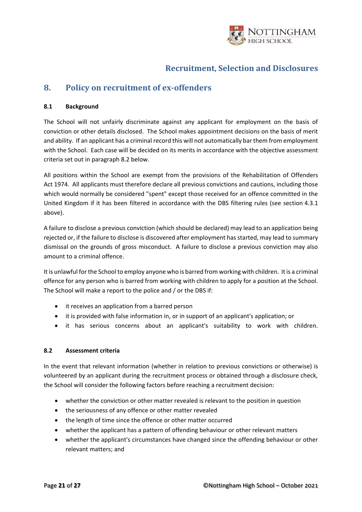

### <span id="page-20-0"></span>**8. Policy on recruitment of ex-offenders**

#### **8.1 Background**

The School will not unfairly discriminate against any applicant for employment on the basis of conviction or other details disclosed. The School makes appointment decisions on the basis of merit and ability. If an applicant has a criminal record this will not automatically bar them from employment with the School. Each case will be decided on its merits in accordance with the objective assessment criteria set out in paragraph 8.2 below.

All positions within the School are exempt from the provisions of the Rehabilitation of Offenders Act 1974. All applicants must therefore declare all previous convictions and cautions, including those which would normally be considered "spent" except those received for an offence committed in the United Kingdom if it has been filtered in accordance with the DBS filtering rules (see section 4.3.1 above).

A failure to disclose a previous conviction (which should be declared) may lead to an application being rejected or, if the failure to disclose is discovered after employment has started, may lead to summary dismissal on the grounds of gross misconduct. A failure to disclose a previous conviction may also amount to a criminal offence.

It is unlawful for the School to employ anyone who is barred from working with children. It is a criminal offence for any person who is barred from working with children to apply for a position at the School. The School will make a report to the police and / or the DBS if:

- it receives an application from a barred person
- it is provided with false information in, or in support of an applicant's application; or
- it has serious concerns about an applicant's suitability to work with children.

#### **8.2 Assessment criteria**

In the event that relevant information (whether in relation to previous convictions or otherwise) is volunteered by an applicant during the recruitment process or obtained through a disclosure check, the School will consider the following factors before reaching a recruitment decision:

- whether the conviction or other matter revealed is relevant to the position in question
- the seriousness of any offence or other matter revealed
- the length of time since the offence or other matter occurred
- whether the applicant has a pattern of offending behaviour or other relevant matters
- whether the applicant's circumstances have changed since the offending behaviour or other relevant matters; and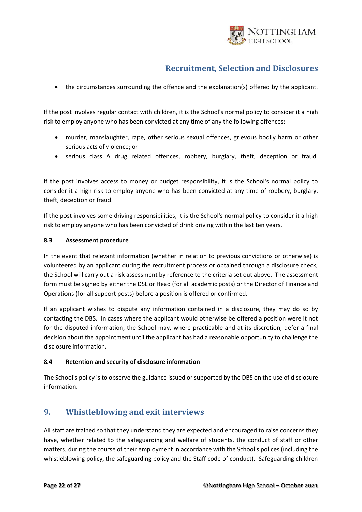

• the circumstances surrounding the offence and the explanation(s) offered by the applicant.

If the post involves regular contact with children, it is the School's normal policy to consider it a high risk to employ anyone who has been convicted at any time of any the following offences:

- murder, manslaughter, rape, other serious sexual offences, grievous bodily harm or other serious acts of violence; or
- serious class A drug related offences, robbery, burglary, theft, deception or fraud.

If the post involves access to money or budget responsibility, it is the School's normal policy to consider it a high risk to employ anyone who has been convicted at any time of robbery, burglary, theft, deception or fraud.

If the post involves some driving responsibilities, it is the School's normal policy to consider it a high risk to employ anyone who has been convicted of drink driving within the last ten years.

#### **8.3 Assessment procedure**

In the event that relevant information (whether in relation to previous convictions or otherwise) is volunteered by an applicant during the recruitment process or obtained through a disclosure check, the School will carry out a risk assessment by reference to the criteria set out above. The assessment form must be signed by either the DSL or Head (for all academic posts) or the Director of Finance and Operations (for all support posts) before a position is offered or confirmed.

If an applicant wishes to dispute any information contained in a disclosure, they may do so by contacting the DBS. In cases where the applicant would otherwise be offered a position were it not for the disputed information, the School may, where practicable and at its discretion, defer a final decision about the appointment until the applicant has had a reasonable opportunity to challenge the disclosure information.

#### **8.4 Retention and security of disclosure information**

The School's policy is to observe the guidance issued or supported by the DBS on the use of disclosure information.

### <span id="page-21-0"></span>**9. Whistleblowing and exit interviews**

All staff are trained so that they understand they are expected and encouraged to raise concerns they have, whether related to the safeguarding and welfare of students, the conduct of staff or other matters, during the course of their employment in accordance with the School's polices (including the whistleblowing policy, the safeguarding policy and the Staff code of conduct). Safeguarding children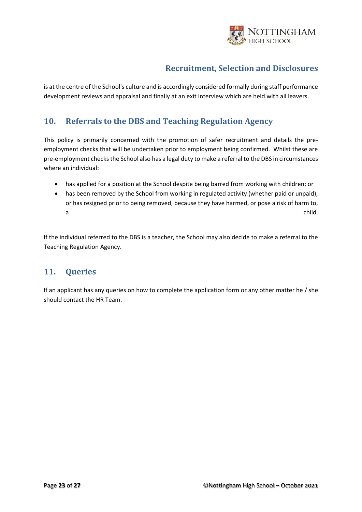

is at the centre of the School's culture and is accordingly considered formally during staff performance development reviews and appraisal and finally at an exit interview which are held with all leavers.

### <span id="page-22-0"></span>**10. Referrals to the DBS and Teaching Regulation Agency**

This policy is primarily concerned with the promotion of safer recruitment and details the preemployment checks that will be undertaken prior to employment being confirmed. Whilst these are pre-employment checks the School also has a legal duty to make a referral to the DBS in circumstances where an individual:

- has applied for a position at the School despite being barred from working with children; or
- has been removed by the School from working in regulated activity (whether paid or unpaid), or has resigned prior to being removed, because they have harmed, or pose a risk of harm to, a child. The child of the child of the child of the child of the child.

If the individual referred to the DBS is a teacher, the School may also decide to make a referral to the Teaching Regulation Agency.

### <span id="page-22-1"></span>**11. Queries**

If an applicant has any queries on how to complete the application form or any other matter he / she should contact the HR Team.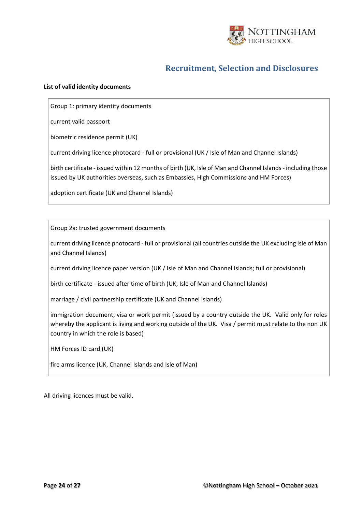

#### **List of valid identity documents**

Group 1: primary identity documents

current valid passport

biometric residence permit (UK)

current driving licence photocard - full or provisional (UK / Isle of Man and Channel Islands)

birth certificate - issued within 12 months of birth (UK, Isle of Man and Channel Islands - including those issued by UK authorities overseas, such as Embassies, High Commissions and HM Forces)

adoption certificate (UK and Channel Islands)

Group 2a: trusted government documents

current driving licence photocard - full or provisional (all countries outside the UK excluding Isle of Man and Channel Islands)

current driving licence paper version (UK / Isle of Man and Channel Islands; full or provisional)

birth certificate - issued after time of birth (UK, Isle of Man and Channel Islands)

marriage / civil partnership certificate (UK and Channel Islands)

immigration document, visa or work permit (issued by a country outside the UK. Valid only for roles whereby the applicant is living and working outside of the UK. Visa / permit must relate to the non UK country in which the role is based)

HM Forces ID card (UK)

fire arms licence (UK, Channel Islands and Isle of Man)

All driving licences must be valid.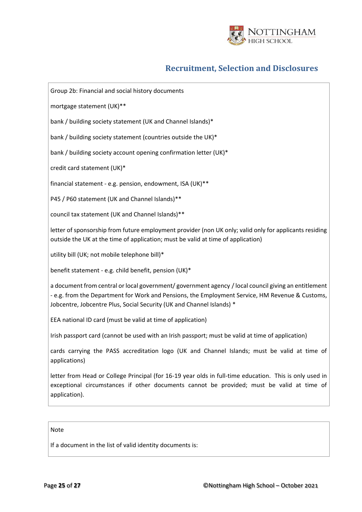

Group 2b: Financial and social history documents

mortgage statement (UK)\*\*

bank / building society statement (UK and Channel Islands)\*

bank / building society statement (countries outside the UK)\*

bank / building society account opening confirmation letter (UK)\*

credit card statement (UK)\*

financial statement - e.g. pension, endowment, ISA (UK)\*\*

P45 / P60 statement (UK and Channel Islands)\*\*

council tax statement (UK and Channel Islands)\*\*

letter of sponsorship from future employment provider (non UK only; valid only for applicants residing outside the UK at the time of application; must be valid at time of application)

utility bill (UK; not mobile telephone bill)\*

benefit statement - e.g. child benefit, pension (UK)\*

a document from central or local government/ government agency / local council giving an entitlement - e.g. from the Department for Work and Pensions, the Employment Service, HM Revenue & Customs, Jobcentre, Jobcentre Plus, Social Security (UK and Channel Islands) \*

EEA national ID card (must be valid at time of application)

Irish passport card (cannot be used with an Irish passport; must be valid at time of application)

cards carrying the PASS accreditation logo (UK and Channel Islands; must be valid at time of applications)

letter from Head or College Principal (for 16-19 year olds in full-time education. This is only used in exceptional circumstances if other documents cannot be provided; must be valid at time of application).

#### Note

If a document in the list of valid identity documents is: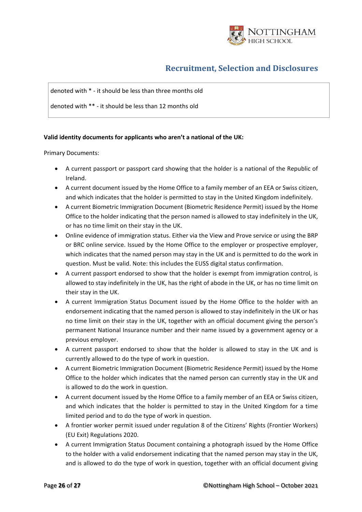

#### denoted with \* - it should be less than three months old

denoted with \*\* - it should be less than 12 months old

#### **Valid identity documents for applicants who aren't a national of the UK:**

Primary Documents:

- A current passport or passport card showing that the holder is a national of the Republic of Ireland.
- A current document issued by the Home Office to a family member of an EEA or Swiss citizen, and which indicates that the holder is permitted to stay in the United Kingdom indefinitely.
- A current Biometric Immigration Document (Biometric Residence Permit) issued by the Home Office to the holder indicating that the person named is allowed to stay indefinitely in the UK, or has no time limit on their stay in the UK.
- Online evidence of immigration status. Either via the View and Prove service or using the BRP or BRC online service. Issued by the Home Office to the employer or prospective employer, which indicates that the named person may stay in the UK and is permitted to do the work in question. Must be valid. Note: this includes the EUSS digital status confirmation.
- A current passport endorsed to show that the holder is exempt from immigration control, is allowed to stay indefinitely in the UK, has the right of abode in the UK, or has no time limit on their stay in the UK.
- A current Immigration Status Document issued by the Home Office to the holder with an endorsement indicating that the named person is allowed to stay indefinitely in the UK or has no time limit on their stay in the UK, together with an official document giving the person's permanent National Insurance number and their name issued by a government agency or a previous employer.
- A current passport endorsed to show that the holder is allowed to stay in the UK and is currently allowed to do the type of work in question.
- A current Biometric Immigration Document (Biometric Residence Permit) issued by the Home Office to the holder which indicates that the named person can currently stay in the UK and is allowed to do the work in question.
- A current document issued by the Home Office to a family member of an EEA or Swiss citizen, and which indicates that the holder is permitted to stay in the United Kingdom for a time limited period and to do the type of work in question.
- A frontier worker permit issued under regulation 8 of the Citizens' Rights (Frontier Workers) (EU Exit) Regulations 2020.
- A current Immigration Status Document containing a photograph issued by the Home Office to the holder with a valid endorsement indicating that the named person may stay in the UK, and is allowed to do the type of work in question, together with an official document giving